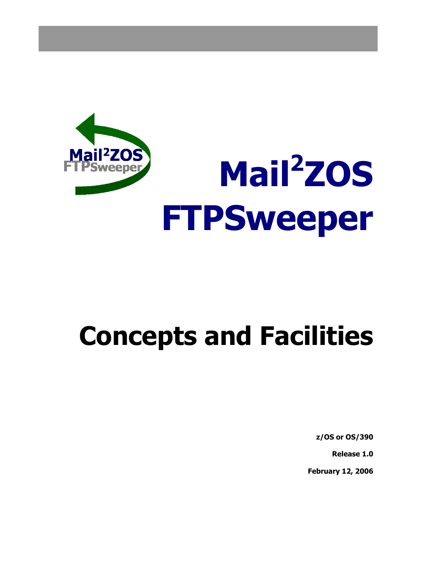

## **Concepts and Facilities**

**z/OS or OS/390** 

**Release 1.0** 

**February 12, 2006**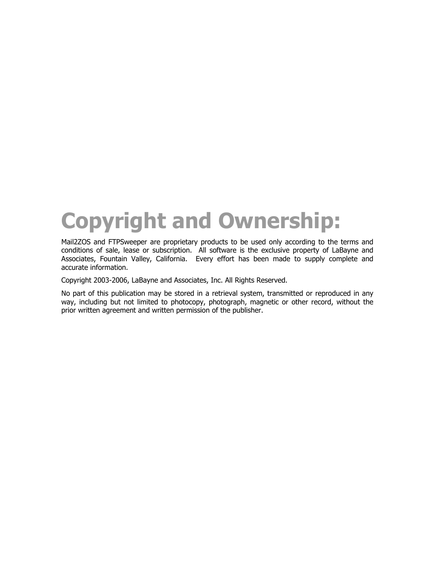## **Copyright and Ownership:**

Mail2ZOS and FTPSweeper are proprietary products to be used only according to the terms and conditions of sale, lease or subscription. All software is the exclusive property of LaBayne and Associates, Fountain Valley, California. Every effort has been made to supply complete and accurate information.

Copyright 2003-2006, LaBayne and Associates, Inc. All Rights Reserved.

No part of this publication may be stored in a retrieval system, transmitted or reproduced in any way, including but not limited to photocopy, photograph, magnetic or other record, without the prior written agreement and written permission of the publisher.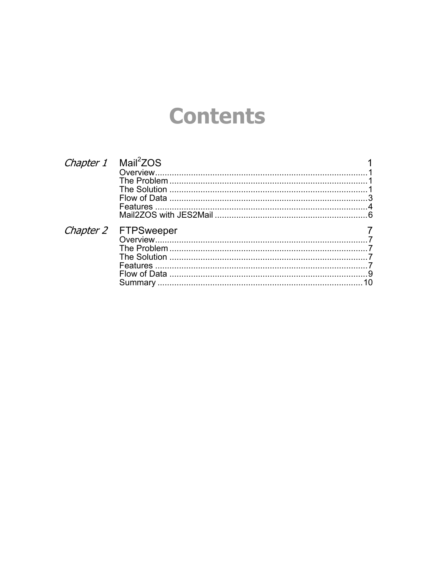### **Contents**

| Chapter 1 Mail <sup>2</sup> ZOS |                      |  |
|---------------------------------|----------------------|--|
|                                 |                      |  |
|                                 |                      |  |
|                                 |                      |  |
|                                 |                      |  |
|                                 |                      |  |
|                                 |                      |  |
|                                 | Chapter 2 FTPSweeper |  |
|                                 |                      |  |
|                                 |                      |  |
|                                 |                      |  |
|                                 |                      |  |
|                                 |                      |  |
|                                 | Summary              |  |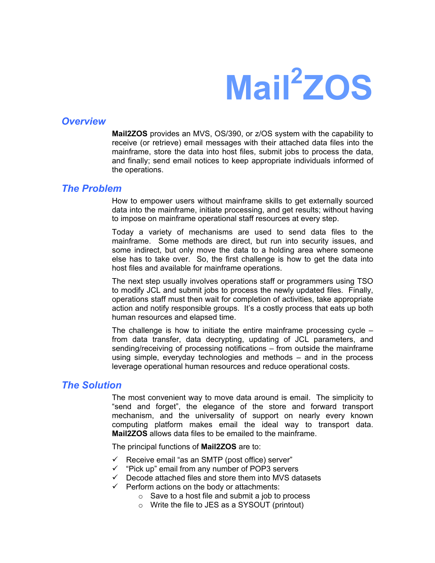# **Mail2 ZOS**

#### <span id="page-4-0"></span>*Overview*

**Mail2ZOS** provides an MVS, OS/390, or z/OS system with the capability to receive (or retrieve) email messages with their attached data files into the mainframe, store the data into host files, submit jobs to process the data, and finally; send email notices to keep appropriate individuals informed of the operations.

#### *The Problem*

How to empower users without mainframe skills to get externally sourced data into the mainframe, initiate processing, and get results; without having to impose on mainframe operational staff resources at every step.

Today a variety of mechanisms are used to send data files to the mainframe. Some methods are direct, but run into security issues, and some indirect, but only move the data to a holding area where someone else has to take over. So, the first challenge is how to get the data into host files and available for mainframe operations.

The next step usually involves operations staff or programmers using TSO to modify JCL and submit jobs to process the newly updated files. Finally, operations staff must then wait for completion of activities, take appropriate action and notify responsible groups. It's a costly process that eats up both human resources and elapsed time.

The challenge is how to initiate the entire mainframe processing cycle – from data transfer, data decrypting, updating of JCL parameters, and sending/receiving of processing notifications – from outside the mainframe using simple, everyday technologies and methods – and in the process leverage operational human resources and reduce operational costs.

#### *The Solution*

The most convenient way to move data around is email. The simplicity to "send and forget", the elegance of the store and forward transport mechanism, and the universality of support on nearly every known computing platform makes email the ideal way to transport data. **Mail2ZOS** allows data files to be emailed to the mainframe.

The principal functions of **Mail2ZOS** are to:

- $\checkmark$  Receive email "as an SMTP (post office) server"
- $\checkmark$  "Pick up" email from any number of POP3 servers
- $\checkmark$  Decode attached files and store them into MVS datasets
- $\checkmark$  Perform actions on the body or attachments:
	- o Save to a host file and submit a job to process
	- o Write the file to JES as a SYSOUT (printout)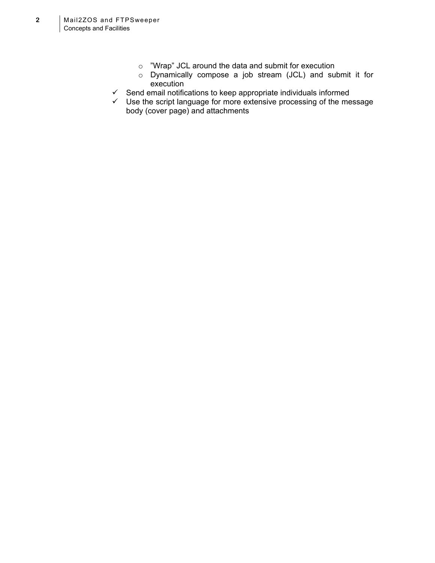- o "Wrap" JCL around the data and submit for execution
- o Dynamically compose a job stream (JCL) and submit it for execution
- $\checkmark$  Send email notifications to keep appropriate individuals informed
- $\checkmark$  Use the script language for more extensive processing of the message body (cover page) and attachments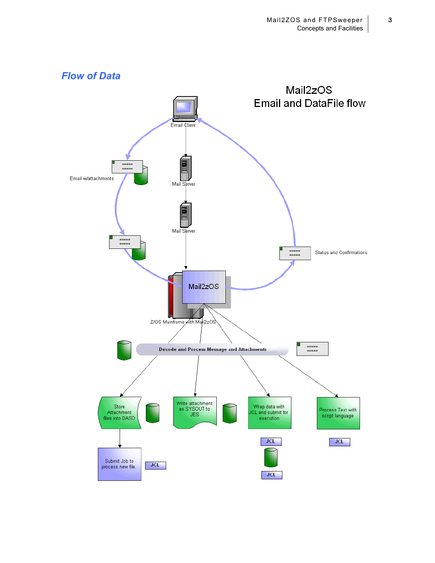<span id="page-6-0"></span>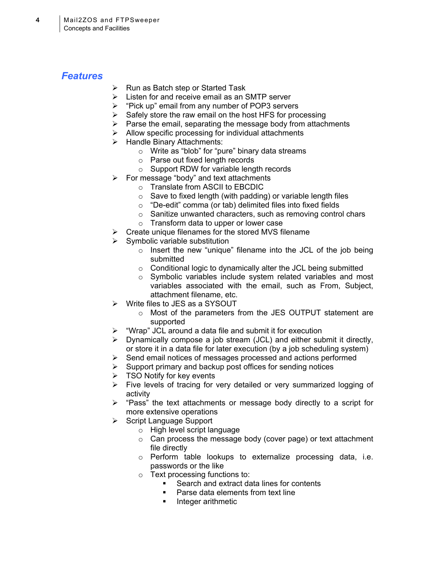#### <span id="page-7-0"></span>*Features*

- $\triangleright$  Run as Batch step or Started Task
- $\triangleright$  Listen for and receive email as an SMTP server
- ¾ "Pick up" email from any number of POP3 servers
- $\triangleright$  Safely store the raw email on the host HFS for processing
- $\triangleright$  Parse the email, separating the message body from attachments
- $\triangleright$  Allow specific processing for individual attachments
- ¾ Handle Binary Attachments:
	- o Write as "blob" for "pure" binary data streams
	- o Parse out fixed length records
	- o Support RDW for variable length records
- $\triangleright$  For message "body" and text attachments
	- o Translate from ASCII to EBCDIC
	- o Save to fixed length (with padding) or variable length files
	- o "De-edit" comma (or tab) delimited files into fixed fields
	- o Sanitize unwanted characters, such as removing control chars
	- o Transform data to upper or lower case
- $\triangleright$  Create unique filenames for the stored MVS filename
- $\triangleright$  Symbolic variable substitution
	- o Insert the new "unique" filename into the JCL of the job being submitted
	- o Conditional logic to dynamically alter the JCL being submitted
	- o Symbolic variables include system related variables and most variables associated with the email, such as From, Subject, attachment filename, etc.
- $\triangleright$  Write files to JES as a SYSOUT
	- o Most of the parameters from the JES OUTPUT statement are supported
- $\triangleright$  "Wrap" JCL around a data file and submit it for execution
- $\triangleright$  Dynamically compose a job stream (JCL) and either submit it directly, or store it in a data file for later execution (by a job scheduling system)
- $\triangleright$  Send email notices of messages processed and actions performed
- $\triangleright$  Support primary and backup post offices for sending notices
- $\triangleright$  TSO Notify for key events
- ¾ Five levels of tracing for very detailed or very summarized logging of activity
- ¾ "Pass" the text attachments or message body directly to a script for more extensive operations
- $\triangleright$  Script Language Support
	- o High level script language
	- o Can process the message body (cover page) or text attachment file directly
	- o Perform table lookups to externalize processing data, i.e. passwords or the like
	- o Text processing functions to:
		- Search and extract data lines for contents
		- **Parse data elements from text line**
		- **Integer arithmetic**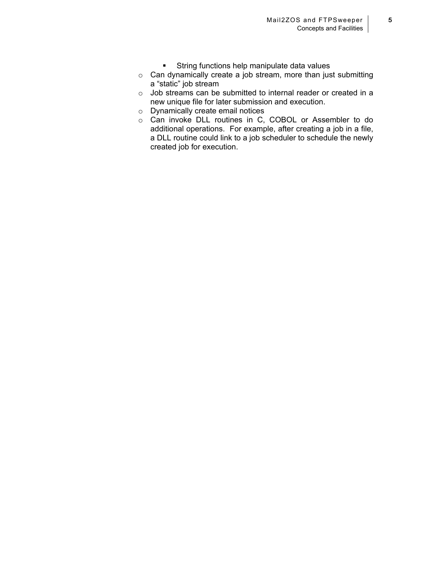- **EXTERGHIST String functions help manipulate data values**
- o Can dynamically create a job stream, more than just submitting a "static" job stream
- o Job streams can be submitted to internal reader or created in a new unique file for later submission and execution.
- o Dynamically create email notices
- o Can invoke DLL routines in C, COBOL or Assembler to do additional operations. For example, after creating a job in a file, a DLL routine could link to a job scheduler to schedule the newly created job for execution.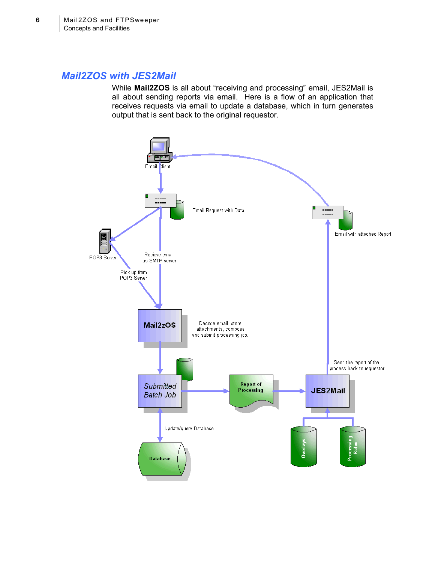#### <span id="page-9-0"></span>*Mail2ZOS with JES2Mail*

While **Mail2ZOS** is all about "receiving and processing" email, JES2Mail is all about sending reports via email. Here is a flow of an application that receives requests via email to update a database, which in turn generates output that is sent back to the original requestor.

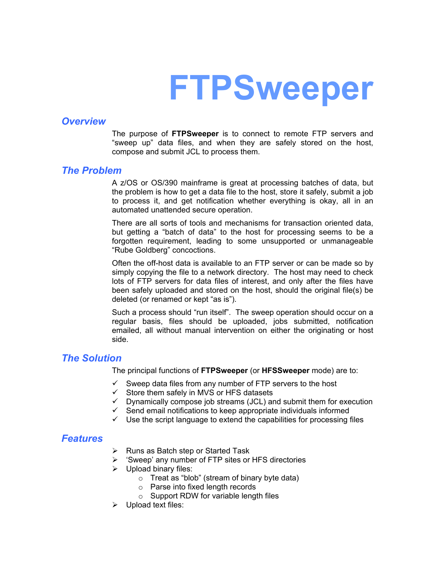## **FTPSweeper**

#### <span id="page-10-0"></span>*Overview*

The purpose of **FTPSweeper** is to connect to remote FTP servers and "sweep up" data files, and when they are safely stored on the host, compose and submit JCL to process them.

#### *The Problem*

A z/OS or OS/390 mainframe is great at processing batches of data, but the problem is how to get a data file to the host, store it safely, submit a job to process it, and get notification whether everything is okay, all in an automated unattended secure operation.

There are all sorts of tools and mechanisms for transaction oriented data, but getting a "batch of data" to the host for processing seems to be a forgotten requirement, leading to some unsupported or unmanageable "Rube Goldberg" concoctions.

Often the off-host data is available to an FTP server or can be made so by simply copying the file to a network directory. The host may need to check lots of FTP servers for data files of interest, and only after the files have been safely uploaded and stored on the host, should the original file(s) be deleted (or renamed or kept "as is").

Such a process should "run itself". The sweep operation should occur on a regular basis, files should be uploaded, jobs submitted, notification emailed, all without manual intervention on either the originating or host side.

#### *The Solution*

The principal functions of **FTPSweeper** (or **HFSSweeper** mode) are to:

- $\checkmark$  Sweep data files from any number of FTP servers to the host
- $\checkmark$  Store them safely in MVS or HFS datasets
- $\checkmark$  Dynamically compose job streams (JCL) and submit them for execution
- $\checkmark$  Send email notifications to keep appropriate individuals informed
- $\checkmark$  Use the script language to extend the capabilities for processing files

#### *Features*

- $\triangleright$  Runs as Batch step or Started Task
- $\triangleright$  'Sweep' any number of FTP sites or HFS directories
- $\triangleright$  Upload binary files:
	- $\circ$  Treat as "blob" (stream of binary byte data)
	- o Parse into fixed length records
	- o Support RDW for variable length files
- $\triangleright$  Upload text files: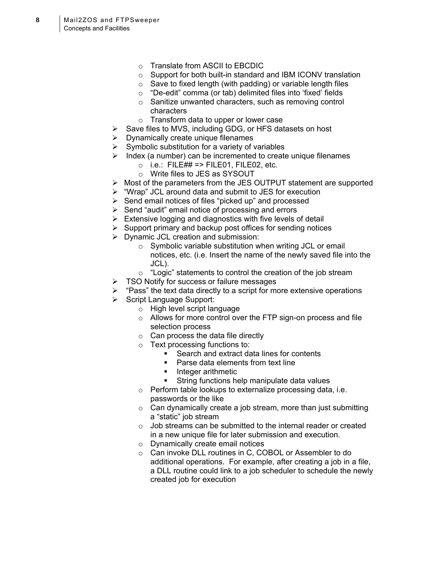- o Translate from ASCII to EBCDIC
- o Support for both built-in standard and IBM ICONV translation
- $\circ$  Save to fixed length (with padding) or variable length files
- o "De-edit" comma (or tab) delimited files into 'fixed' fields
- o Sanitize unwanted characters, such as removing control characters
- o Transform data to upper or lower case
- $\triangleright$  Save files to MVS, including GDG, or HFS datasets on host
- $\triangleright$  Dynamically create unique filenames
- $\triangleright$  Symbolic substitution for a variety of variables
- $\triangleright$  Index (a number) can be incremented to create unique filenames
	- $\circ$  i.e.: FILE## => FILE01, FILE02, etc.
	- o Write files to JES as SYSOUT
- $\triangleright$  Most of the parameters from the JES OUTPUT statement are supported
- ¾ "Wrap" JCL around data and submit to JES for execution
- $\triangleright$  Send email notices of files "picked up" and processed
- $\triangleright$  Send "audit" email notice of processing and errors
- $\triangleright$  Extensive logging and diagnostics with five levels of detail
- $\triangleright$  Support primary and backup post offices for sending notices
- $\triangleright$  Dynamic JCL creation and submission:
	- o Symbolic variable substitution when writing JCL or email notices, etc. (i.e. Insert the name of the newly saved file into the JCL).
	- $\circ$  "Logic" statements to control the creation of the job stream
- $\triangleright$  TSO Notify for success or failure messages
- $\triangleright$  "Pass" the text data directly to a script for more extensive operations
- ¾ Script Language Support:
	- o High level script language
	- o Allows for more control over the FTP sign-on process and file selection process
	- $\circ$  Can process the data file directly
	- o Text processing functions to:
		- Search and extract data lines for contents
		- **Parse data elements from text line**
		- **Integer arithmetic**
		- **String functions help manipulate data values**
	- o Perform table lookups to externalize processing data, i.e. passwords or the like
	- $\circ$  Can dynamically create a job stream, more than just submitting a "static" job stream
	- $\circ$  Job streams can be submitted to the internal reader or created in a new unique file for later submission and execution.
	- o Dynamically create email notices
	- o Can invoke DLL routines in C, COBOL or Assembler to do additional operations. For example, after creating a job in a file, a DLL routine could link to a job scheduler to schedule the newly created job for execution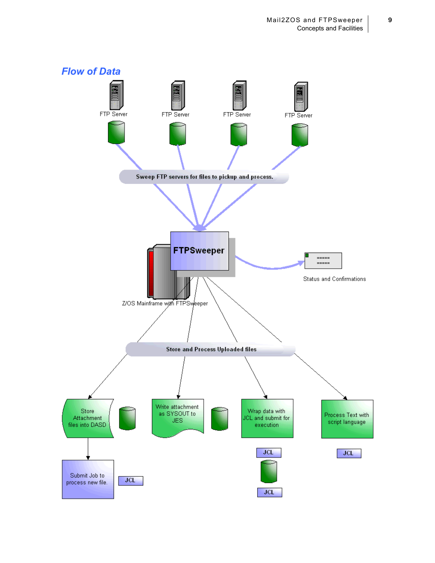<span id="page-12-0"></span>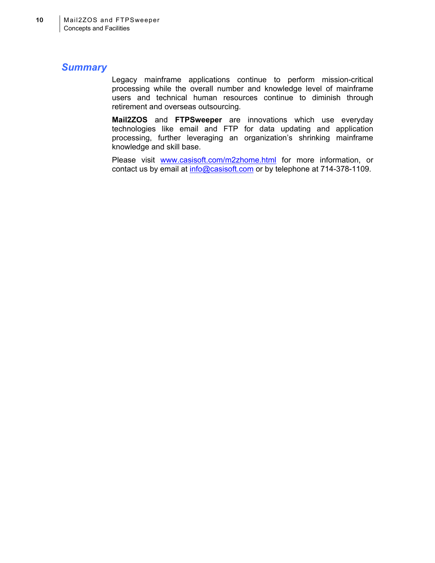#### <span id="page-13-0"></span>*Summary*

Legacy mainframe applications continue to perform mission-critical processing while the overall number and knowledge level of mainframe users and technical human resources continue to diminish through retirement and overseas outsourcing.

**Mail2ZOS** and **FTPSweeper** are innovations which use everyday technologies like email and FTP for data updating and application processing, further leveraging an organization's shrinking mainframe knowledge and skill base.

Please visit [www.casisoft.com/m2zhome.html](http://www.casisoft.com/m2zhome.html) for more information, or contact us by email at [info@casisoft.com](mailto:info@casisoft.com) or by telephone at 714-378-1109.